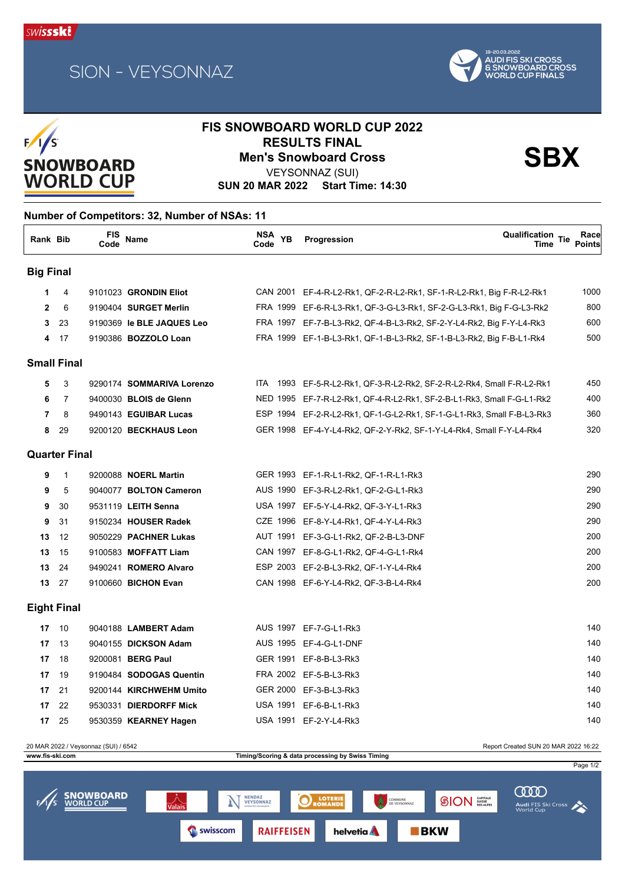





## **FIS SNOWBOARD WORLD CUP 2022 RESULTS FINAL<br>Men's Snowboard Cross Sandward SBX**

VEYSONNAZ (SUI)

**SUN 20 MAR 2022 Start Time: 14:30**

## **Number of Competitors: 32, Number of NSAs: 11**

| Rank Bib           |                      | FIS<br>Code | Name                        | NSA<br>Code | <b>YB</b> | Qualification Tie<br>Progression<br>Time                               | Race<br><b>Points</b> |
|--------------------|----------------------|-------------|-----------------------------|-------------|-----------|------------------------------------------------------------------------|-----------------------|
| <b>Big Final</b>   |                      |             |                             |             |           |                                                                        |                       |
| 1.                 | 4                    |             | 9101023 GRONDIN Eliot       |             |           | CAN 2001 EF-4-R-L2-Rk1, QF-2-R-L2-Rk1, SF-1-R-L2-Rk1, Big F-R-L2-Rk1   | 1000                  |
| $\overline{2}$     | 6                    |             | 9190404 SURGET Merlin       |             |           | FRA 1999 EF-6-R-L3-Rk1, QF-3-G-L3-Rk1, SF-2-G-L3-Rk1, Big F-G-L3-Rk2   | 800                   |
| 3                  | 23                   |             | 9190369 le BLE JAQUES Leo   |             |           | FRA 1997 EF-7-B-L3-Rk2, QF-4-B-L3-Rk2, SF-2-Y-L4-Rk2, Big F-Y-L4-Rk3   | 600                   |
| 4                  | 17                   |             | 9190386 BOZZOLO Loan        |             |           | FRA 1999 EF-1-B-L3-Rk1, QF-1-B-L3-Rk2, SF-1-B-L3-Rk2, Big F-B-L1-Rk4   | 500                   |
|                    | <b>Small Final</b>   |             |                             |             |           |                                                                        |                       |
| 5                  | 3                    |             | 9290174 SOMMARIVA Lorenzo   |             |           | ITA 1993 EF-5-R-L2-Rk1, QF-3-R-L2-Rk2, SF-2-R-L2-Rk4, Small F-R-L2-Rk1 | 450                   |
| 6                  | 7                    |             | 9400030 BLOIS de Glenn      |             |           | NED 1995 EF-7-R-L2-Rk1, QF-4-R-L2-Rk1, SF-2-B-L1-Rk3, Small F-G-L1-Rk2 | 400                   |
| 7                  | 8                    |             | 9490143 EGUIBAR Lucas       |             |           | ESP 1994 EF-2-R-L2-Rk1, QF-1-G-L2-Rk1, SF-1-G-L1-Rk3, Small F-B-L3-Rk3 | 360                   |
| 8                  | 29                   |             | 9200120 BECKHAUS Leon       |             |           | GER 1998 EF-4-Y-L4-Rk2, QF-2-Y-Rk2, SF-1-Y-L4-Rk4, Small F-Y-L4-Rk4    | 320                   |
|                    | <b>Quarter Final</b> |             |                             |             |           |                                                                        |                       |
| 9                  | $\mathbf{1}$         |             | 9200088 <b>NOERL Martin</b> |             |           | GER 1993 EF-1-R-L1-Rk2, QF-1-R-L1-Rk3                                  | 290                   |
| 9                  | 5                    |             | 9040077 BOLTON Cameron      |             |           | AUS 1990 EF-3-R-L2-Rk1, QF-2-G-L1-Rk3                                  | 290                   |
| 9                  | 30                   |             | 9531119 LEITH Senna         |             |           | USA 1997 EF-5-Y-L4-Rk2, QF-3-Y-L1-Rk3                                  | 290                   |
| 9                  | 31                   |             | 9150234 HOUSER Radek        |             |           | CZE 1996 EF-8-Y-L4-Rk1, QF-4-Y-L4-Rk3                                  | 290                   |
| 13                 | 12                   |             | 9050229 PACHNER Lukas       |             |           | AUT 1991 EF-3-G-L1-Rk2, QF-2-B-L3-DNF                                  | 200                   |
| 13                 | 15                   |             | 9100583 MOFFATT Liam        |             |           | CAN 1997 EF-8-G-L1-Rk2, QF-4-G-L1-Rk4                                  | 200                   |
| 13                 | 24                   |             | 9490241 ROMERO Alvaro       |             |           | ESP 2003 EF-2-B-L3-Rk2, QF-1-Y-L4-Rk4                                  | 200                   |
| 13                 | - 27                 |             | 9100660 BICHON Evan         |             |           | CAN 1998 EF-6-Y-L4-Rk2, QF-3-B-L4-Rk4                                  | 200                   |
| <b>Eight Final</b> |                      |             |                             |             |           |                                                                        |                       |
| 17                 | 10                   |             | 9040188 LAMBERT Adam        |             |           | AUS 1997 EF-7-G-L1-Rk3                                                 | 140                   |
| 17                 | 13                   |             | 9040155 DICKSON Adam        |             |           | AUS 1995 EF-4-G-L1-DNF                                                 | 140                   |
| 17                 | 18                   |             | 9200081 BERG Paul           |             |           | GER 1991 EF-8-B-L3-Rk3                                                 | 140                   |
| 17                 | - 19                 |             | 9190484 SODOGAS Quentin     |             |           | FRA 2002 EF-5-B-L3-Rk3                                                 | 140                   |
| 17                 | 21                   |             | 9200144 KIRCHWEHM Umito     |             |           | GER 2000 EF-3-B-L3-Rk3                                                 | 140                   |
| 17                 | 22                   |             | 9530331 DIERDORFF Mick      |             |           | USA 1991 EF-6-B-L1-Rk3                                                 | 140                   |



**17** 25 9530359 **KEARNEY Hagen** USA 1991 EF-2-Y-L4-Rk3 140